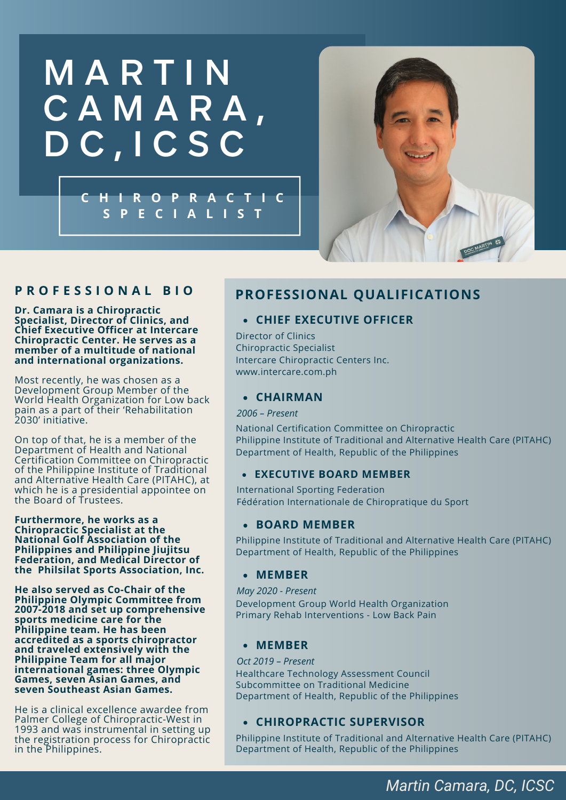# **MARTIN** C A M A R A , D C , I C S C

**C H I R O P R A C T I C S P E C I A L I S T**



### **P R O F E S S I O N A L B I O**

**Dr. Camara is a Chiropractic Specialist, Director of Clinics, and Chief Executive Officer at Intercare Chiropractic Center. He serves as a member of a multitude of national and international organizations.**

Most recently, he was chosen as a Development Group Member of the World Health Organization for Low back pain as a part of their 'Rehabilitation 2030' initiative.

On top of that, he is a member of the Department of Health and National Certification Committee on Chiropractic of the Philippine Institute of Traditional and Alternative Health Care (PITAHC), at which he is a presidential appointee on the Board of Trustees.

**Furthermore, he works as a Chiropractic Specialist at the National Golf Association of the Philippines and Philippine Jiujitsu Federation, and Medical Director of the Philsilat Sports Association, Inc.**

**He also served as Co-Chair of the Philippine Olympic Committee from 2007-2018 and set up comprehensive sports medicine care for the Philippine team. He has been accredited as a sports chiropractor and traveled extensively with the Philippine Team for all major international games: three Olympic Games, seven Asian Games, and seven Southeast Asian Games.**

He is a clinical excellence awardee from Palmer College of Chiropractic-West in 1993 and was instrumental in setting up the registration process for Chiropractic in the Philippines.

# **PROFESSIONAL QUALIFICATIONS**

#### **CHIEF EXECUTIVE OFFICER**

Director of Clinics Chiropractic Specialist Intercare Chiropractic Centers Inc. www.intercare.com.ph

#### **CHAIRMAN**

*2006 – Present*

National Certification Committee on Chiropractic Philippine Institute of Traditional and Alternative Health Care (PITAHC) Department of Health, Republic of the Philippines

#### **EXECUTIVE BOARD MEMBER**

International Sporting Federation Fédération Internationale de Chiropratique du Sport

#### **BOARD MEMBER**

Philippine Institute of Traditional and Alternative Health Care (PITAHC) Department of Health, Republic of the Philippines

#### **MEMBER**

*May 2020 - Present* Development Group World Health Organization Primary Rehab Interventions - Low Back Pain

#### **MEMBER**

*Oct 2019 – Present* Healthcare Technology Assessment Council Subcommittee on Traditional Medicine Department of Health, Republic of the Philippines

#### **CHIROPRACTIC SUPERVISOR**

Philippine Institute of Traditional and Alternative Health Care (PITAHC) Department of Health, Republic of the Philippines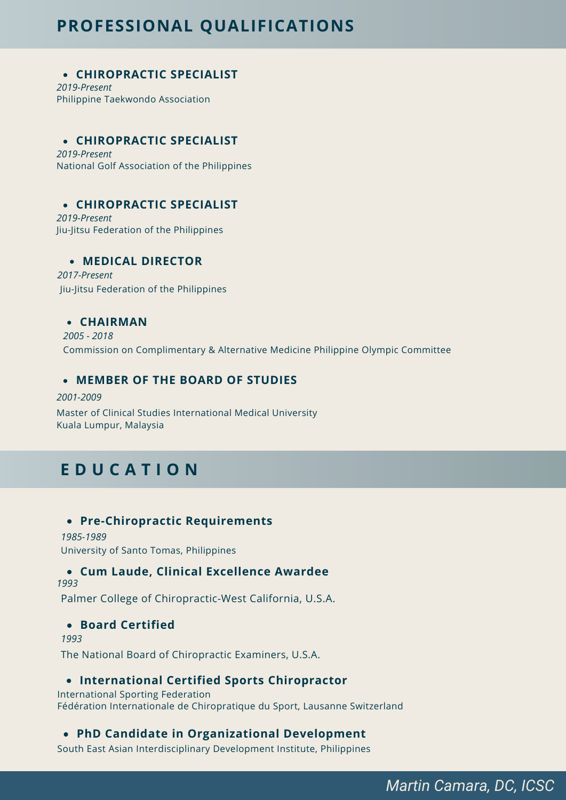# **PROFESSIONAL QUALIFICATIONS**

#### **CHIROPRACTIC SPECIALIST**

*2019-Present* Philippine Taekwondo Association

#### **CHIROPRACTIC SPECIALIST**

*2019-Present* National Golf Association of the Philippines

### **CHIROPRACTIC SPECIALIST**

*2019-Present* Jiu-Jitsu Federation of the Philippines

#### **MEDICAL DIRECTOR**

*2017-Present* Jiu-Jitsu Federation of the Philippines

#### **CHAIRMAN**

*2005 - 2018* Commission on Complimentary & Alternative Medicine Philippine Olympic Committee

#### **MEMBER OF THE BOARD OF STUDIES**

#### *2001-2009*

Master of Clinical Studies International Medical University Kuala Lumpur, Malaysia

# **E D U C A T I O N**

#### **Pre-Chiropractic Requirements**

*1985-1989* University of Santo Tomas, Philippines

#### **Cum Laude, Clinical Excellence Awardee**

*1993*

Palmer College of Chiropractic-West California, U.S.A.

#### **Board Certified**

*1993*

The National Board of Chiropractic Examiners, U.S.A.

#### **International Certified Sports Chiropractor**

International Sporting Federation Fédération Internationale de Chiropratique du Sport, Lausanne Switzerland

### **PhD Candidate in Organizational Development**

South East Asian Interdisciplinary Development Institute, Philippines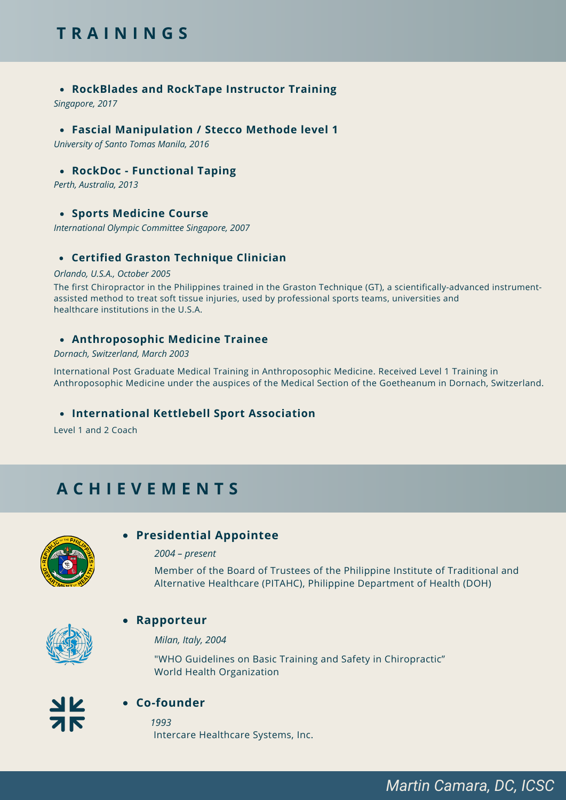# **T R A I N I N G S**

#### **RockBlades and RockTape Instructor Training**

*Singapore, 2017*

#### **Fascial Manipulation / Stecco Methode level 1**

*University of Santo Tomas Manila, 2016*

#### **RockDoc - Functional Taping**

*Perth, Australia, 2013*

#### **Sports Medicine Course**

*International Olympic Committee Singapore, 2007*

#### **Certified Graston Technique Clinician**

#### *Orlando, U.S.A., October 2005*

The first Chiropractor in the Philippines trained in the Graston Technique (GT), a scientifically-advanced instrumentassisted method to treat soft tissue injuries, used by professional sports teams, universities and healthcare institutions in the U.S.A.

#### **Anthroposophic Medicine Trainee**

#### *Dornach, Switzerland, March 2003*

International Post Graduate Medical Training in Anthroposophic Medicine. Received Level 1 Training in Anthroposophic Medicine under the auspices of the Medical Section of the Goetheanum in Dornach, Switzerland.

#### **International Kettlebell Sport Association**

Level 1 and 2 Coach

# **A C H I E V E M E N T S**



#### **Presidential Appointee**

#### *2004 – present*

Member of the Board of Trustees of the Philippine Institute of Traditional and Alternative Healthcare (PITAHC), Philippine Department of Health (DOH)



#### **Rapporteur**

*Milan, Italy, 2004*

"WHO Guidelines on Basic Training and Safety in Chiropractic" World Health Organization



#### **Co-founder**

*1993* Intercare Healthcare Systems, Inc.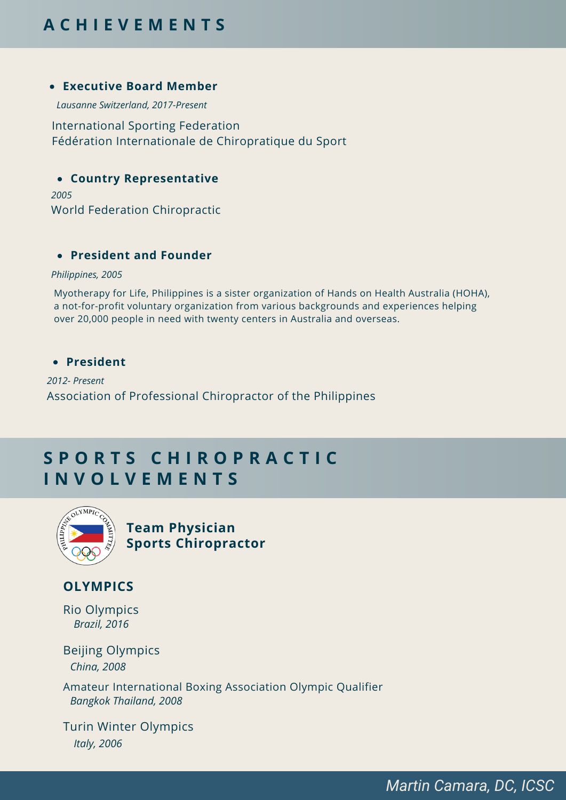# **A C H I E V E M E N T S**

#### **Executive Board Member**

*Lausanne Switzerland, 2017-Present*

International Sporting Federation Fédération Internationale de Chiropratique du Sport

#### **Country Representative**

*2005* World Federation Chiropractic

#### **President and Founder**

*Philippines, 2005*

Myotherapy for Life, Philippines is a sister organization of Hands on Health Australia (HOHA), a not-for-profit voluntary organization from various backgrounds and experiences helping over 20,000 people in need with twenty centers in Australia and overseas.

#### **President**

*2012- Present* Association of Professional Chiropractor of the Philippines

# **S P O R T S C H I R O P R A C T I C I N V O L V E M E N T S**



**Team Physician Sports Chiropractor**

### **OLYMPICS**

*Brazil, 2016* Rio Olympics

*China, 2008* Beijing Olympics

*Bangkok Thailand, 2008* Amateur International Boxing Association Olympic Qualifier

*Italy, 2006* Turin Winter Olympics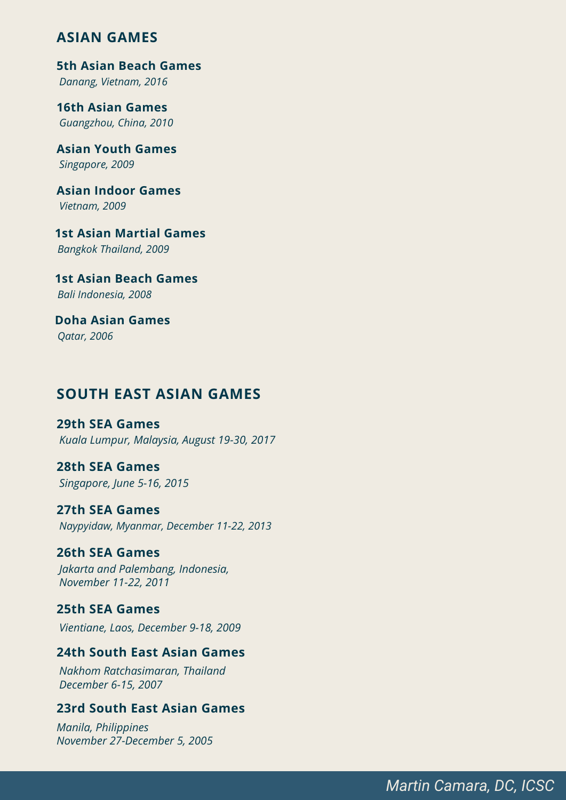# **ASIAN GAMES**

*Danang, Vietnam, 2016* **5th Asian Beach Games**

*Guangzhou, China, 2010* **16th Asian Games**

*Singapore, 2009* **Asian Youth Games**

*Vietnam, 2009* **Asian Indoor Games**

*Bangkok Thailand, 2009* **1st Asian Martial Games**

*Bali Indonesia, 2008* **1st Asian Beach Games**

*Qatar, 2006* **Doha Asian Games**

# **SOUTH EAST ASIAN GAMES**

*Kuala Lumpur, Malaysia, August 19-30, 2017* **29th SEA Games**

*Singapore, June 5-16, 2015* **28th SEA Games**

*Naypyidaw, Myanmar, December 11-22, 2013* **27th SEA Games**

*Jakarta and Palembang, Indonesia, November 11-22, 2011* **26th SEA Games**

*Vientiane, Laos, December 9-18, 2009* **25th SEA Games**

#### **24th South East Asian Games**

*Nakhom Ratchasimaran, Thailand December 6-15, 2007*

### **23rd South East Asian Games**

*Manila, Philippines November 27-December 5, 2005*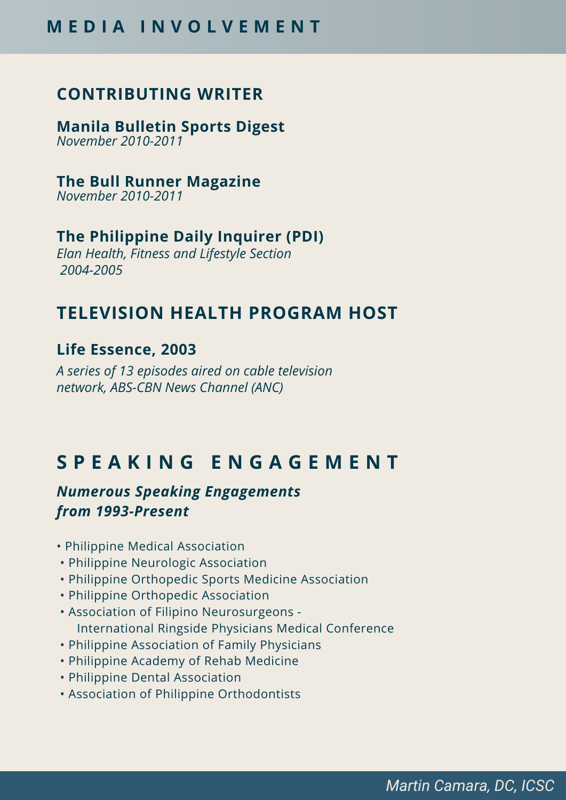# **CONTRIBUTING WRITER**

*November 2010-2011* **Manila Bulletin Sports Digest**

*November 2010-2011* **The Bull Runner Magazine**

# **The Philippine Daily Inquirer (PDI)**

*Elan Health, Fitness and Lifestyle Section 2004-2005*

# **TELEVISION HEALTH PROGRAM HOST**

# **Life Essence, 2003**

*A series of 13 episodes aired on cable television network, ABS-CBN News Channel (ANC)*

# **S P E A K I N G E N G A G E M E N T**

# *Numerous Speaking Engagements from 1993-Present*

- Philippine Medical Association
- Philippine Neurologic Association
- Philippine Orthopedic Sports Medicine Association
- Philippine Orthopedic Association
- Association of Filipino Neurosurgeons International Ringside Physicians Medical Conference
- Philippine Association of Family Physicians
- Philippine Academy of Rehab Medicine
- Philippine Dental Association
- Association of Philippine Orthodontists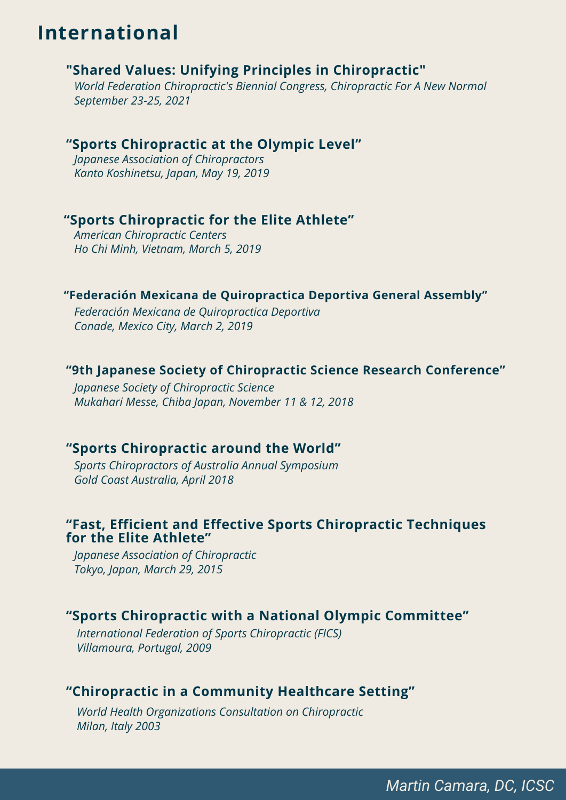# **International**

# **"Shared Values: Unifying Principles in Chiropractic"**

*World Federation Chiropractic's Biennial Congress, Chiropractic For A New Normal September 23-25, 2021*

### **"Sports Chiropractic at the Olympic Level"**

*Japanese Association of Chiropractors Kanto Koshinetsu, Japan, May 19, 2019*

### **"Sports Chiropractic for the Elite Athlete"**

*American Chiropractic Centers Ho Chi Minh, Vietnam, March 5, 2019*

### **"Federación Mexicana de Quiropractica Deportiva General Assembly"**

*Federación Mexicana de Quiropractica Deportiva Conade, Mexico City, March 2, 2019*

#### **"9th Japanese Society of Chiropractic Science Research Conference"**

*Japanese Society of Chiropractic Science Mukahari Messe, Chiba Japan, November 11 & 12, 2018*

#### **"Sports Chiropractic around the World"**

*Sports Chiropractors of Australia Annual Symposium Gold Coast Australia, April 2018*

### **"Fast, Efficient and Effective Sports Chiropractic Techniques for the Elite Athlete"**

*Japanese Association of Chiropractic Tokyo, Japan, March 29, 2015*

# **"Sports Chiropractic with a National Olympic Committee"**

*International Federation of Sports Chiropractic (FICS) Villamoura, Portugal, 2009*

# **"Chiropractic in a Community Healthcare Setting"**

*World Health Organizations Consultation on Chiropractic Milan, Italy 2003*